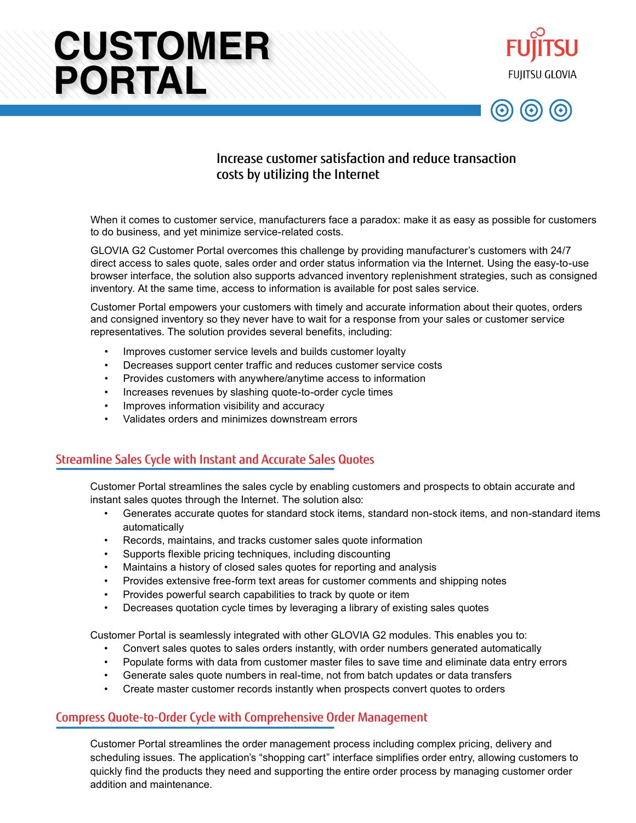# **CUSTOMER PORTAL**





## Increase customer satisfaction and reduce transaction costs by utilizing the Internet

When it comes to customer service, manufacturers face a paradox: make it as easy as possible for customers to do business, and yet minimize service-related costs.

GLOVIA G2 Customer Portal overcomes this challenge by providing manufacturer's customers with 24/7 direct access to sales quote, sales order and order status information via the Internet. Using the easy-to-use browser interface, the solution also supports advanced inventory replenishment strategies, such as consigned inventory. At the same time, access to information is available for post sales service.

Customer Portal empowers your customers with timely and accurate information about their quotes, orders and consigned inventory so they never have to wait for a response from your sales or customer service representatives. The solution provides several benefits, including:

- Improves customer service levels and builds customer loyalty
- Decreases support center traffic and reduces customer service costs
- Provides customers with anywhere/anytime access to information
- Increases revenues by slashing quote-to-order cycle times
- Improves information visibility and accuracy
- Validates orders and minimizes downstream errors

## Streamline Sales Cycle with Instant and Accurate Sales Quotes

Customer Portal streamlines the sales cycle by enabling customers and prospects to obtain accurate and instant sales quotes through the Internet. The solution also:

- Generates accurate quotes for standard stock items, standard non-stock items, and non-standard items automatically
- Records, maintains, and tracks customer sales quote information
- Supports flexible pricing techniques, including discounting
- Maintains a history of closed sales quotes for reporting and analysis
- Provides extensive free-form text areas for customer comments and shipping notes
- Provides powerful search capabilities to track by quote or item
- Decreases quotation cycle times by leveraging a library of existing sales quotes

Customer Portal is seamlessly integrated with other GLOVIA G2 modules. This enables you to:

- Convert sales quotes to sales orders instantly, with order numbers generated automatically
- Populate forms with data from customer master files to save time and eliminate data entry errors
- Generate sales quote numbers in real-time, not from batch updates or data transfers
- Create master customer records instantly when prospects convert quotes to orders

#### Compress Quote-to-Order Cycle with Comprehensive Order Management

Customer Portal streamlines the order management process including complex pricing, delivery and scheduling issues. The application's "shopping cart" interface simplifies order entry, allowing customers to quickly find the products they need and supporting the entire order process by managing customer order addition and maintenance.